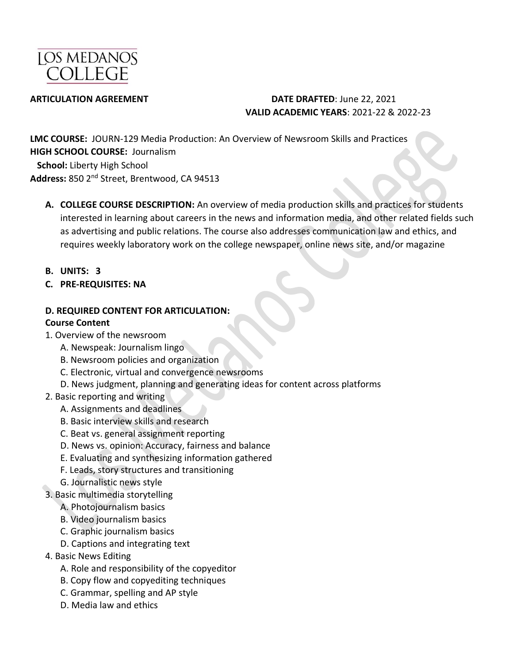

#### **ARTICULATION AGREEMENT DATE DRAFTED**: June 22, 2021 **VALID ACADEMIC YEARS**: 2021-22 & 2022-23

**LMC COURSE:** JOURN-129 Media Production: An Overview of Newsroom Skills and Practices **HIGH SCHOOL COURSE:** Journalism  **School:** Liberty High School **Address:** 850 2nd Street, Brentwood, CA 94513

- **A. COLLEGE COURSE DESCRIPTION:** An overview of media production skills and practices for students interested in learning about careers in the news and information media, and other related fields such as advertising and public relations. The course also addresses communication law and ethics, and requires weekly laboratory work on the college newspaper, online news site, and/or magazine
- **B. UNITS: 3**
- **C. PRE-REQUISITES: NA**

#### **D. REQUIRED CONTENT FOR ARTICULATION:**

#### **Course Content**

- 1. Overview of the newsroom
	- A. Newspeak: Journalism lingo
	- B. Newsroom policies and organization
	- C. Electronic, virtual and convergence newsrooms
	- D. News judgment, planning and generating ideas for content across platforms
- 2. Basic reporting and writing
	- A. Assignments and deadlines
	- B. Basic interview skills and research
	- C. Beat vs. general assignment reporting
	- D. News vs. opinion: Accuracy, fairness and balance
	- E. Evaluating and synthesizing information gathered
	- F. Leads, story structures and transitioning
	- G. Journalistic news style
- 3. Basic multimedia storytelling
	- A. Photojournalism basics
	- B. Video journalism basics
	- C. Graphic journalism basics
	- D. Captions and integrating text
- 4. Basic News Editing
	- A. Role and responsibility of the copyeditor
	- B. Copy flow and copyediting techniques
	- C. Grammar, spelling and AP style
	- D. Media law and ethics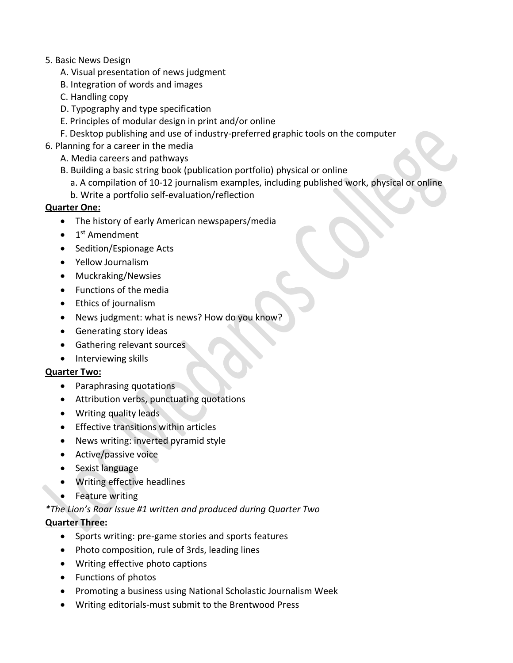#### 5. Basic News Design

- A. Visual presentation of news judgment
- B. Integration of words and images
- C. Handling copy
- D. Typography and type specification
- E. Principles of modular design in print and/or online
- F. Desktop publishing and use of industry-preferred graphic tools on the computer
- 6. Planning for a career in the media
	- A. Media careers and pathways
	- B. Building a basic string book (publication portfolio) physical or online
		- a. A compilation of 10-12 journalism examples, including published work, physical or online
		- b. Write a portfolio self-evaluation/reflection

#### **Quarter One:**

- The history of early American newspapers/media
- 1<sup>st</sup> Amendment
- Sedition/Espionage Acts
- Yellow Journalism
- Muckraking/Newsies
- Functions of the media
- Ethics of journalism
- News judgment: what is news? How do you know?
- Generating story ideas
- Gathering relevant sources
- Interviewing skills

#### **Quarter Two:**

- Paraphrasing quotations
- Attribution verbs, punctuating quotations
- Writing quality leads
- Effective transitions within articles
- News writing: inverted pyramid style
- Active/passive voice
- Sexist language
- Writing effective headlines
- Feature writing

### *\*The Lion's Roar Issue #1 written and produced during Quarter Two*

### **Quarter Three:**

- Sports writing: pre-game stories and sports features
- Photo composition, rule of 3rds, leading lines
- Writing effective photo captions
- Functions of photos
- Promoting a business using National Scholastic Journalism Week
- Writing editorials-must submit to the Brentwood Press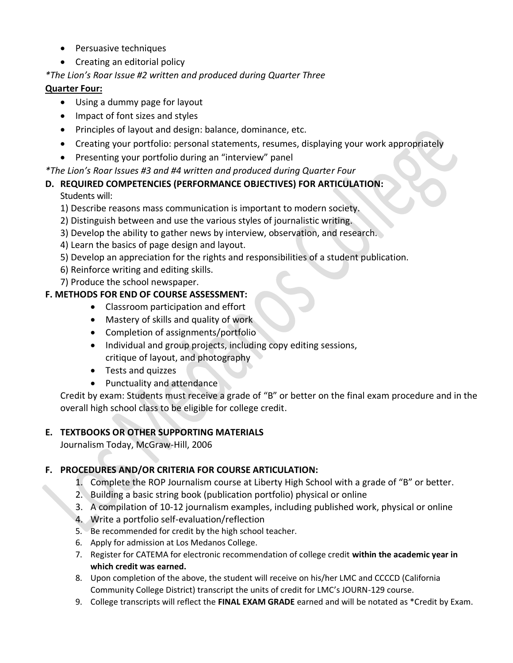- Persuasive techniques
- Creating an editorial policy

### *\*The Lion's Roar Issue #2 written and produced during Quarter Three*

#### **Quarter Four:**

- Using a dummy page for layout
- Impact of font sizes and styles
- Principles of layout and design: balance, dominance, etc.
- Creating your portfolio: personal statements, resumes, displaying your work appropriately
- Presenting your portfolio during an "interview" panel

#### *\*The Lion's Roar Issues #3 and #4 written and produced during Quarter Four*

### **D. REQUIRED COMPETENCIES (PERFORMANCE OBJECTIVES) FOR ARTICULATION:**

Students will:

- 1) Describe reasons mass communication is important to modern society.
- 2) Distinguish between and use the various styles of journalistic writing.
- 3) Develop the ability to gather news by interview, observation, and research.
- 4) Learn the basics of page design and layout.
- 5) Develop an appreciation for the rights and responsibilities of a student publication.
- 6) Reinforce writing and editing skills.
- 7) Produce the school newspaper.

#### **F. METHODS FOR END OF COURSE ASSESSMENT:**

- Classroom participation and effort
- Mastery of skills and quality of work
- Completion of assignments/portfolio
- Individual and group projects, including copy editing sessions, critique of layout, and photography
- Tests and quizzes
- Punctuality and attendance

Credit by exam: Students must receive a grade of "B" or better on the final exam procedure and in the overall high school class to be eligible for college credit.

#### **E. TEXTBOOKS OR OTHER SUPPORTING MATERIALS**

Journalism Today, McGraw-Hill, 2006

### **F. PROCEDURES AND/OR CRITERIA FOR COURSE ARTICULATION:**

- 1. Complete the ROP Journalism course at Liberty High School with a grade of "B" or better.
- 2. Building a basic string book (publication portfolio) physical or online
- 3. A compilation of 10-12 journalism examples, including published work, physical or online
- 4. Write a portfolio self-evaluation/reflection
- 5. Be recommended for credit by the high school teacher.
- 6. Apply for admission at Los Medanos College.
- 7. Register for CATEMA for electronic recommendation of college credit **within the academic year in which credit was earned.**
- 8. Upon completion of the above, the student will receive on his/her LMC and CCCCD (California Community College District) transcript the units of credit for LMC's JOURN-129 course.
- 9. College transcripts will reflect the **FINAL EXAM GRADE** earned and will be notated as \*Credit by Exam.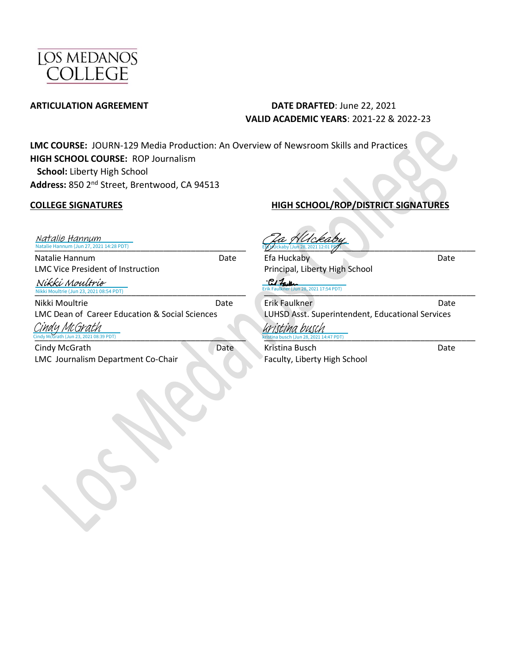

#### **ARTICULATION AGREEMENT** DATE DRAFTED: June 22, 2021 **VALID ACADEMIC YEARS**: 2021-22 & 2022-23

**LMC COURSE:** JOURN-129 Media Production: An Overview of Newsroom Skills and Practices **HIGH SCHOOL COURSE:** ROP Journalism  **School:** Liberty High School **Address:** 850 2nd Street, Brentwood, CA 94513

[\\_\\_\\_\\_\\_\\_\\_\\_\\_\\_\\_\\_\\_\\_\\_\\_\\_\\_\\_\\_\\_\\_\\_\\_\\_\\_\\_\\_\\_\\_\\_\\_\\_\\_\\_\\_\\_\\_\\_\\_](https://lmck-12partnership.na2.echosign.com/verifier?tx=CBJCHBCAABAASPJh_iIG4gG3J9llbtbpQ3P0NzNCC5dk)\_\_\_\_\_\_ Natalie Hannum (Jun 27, 2021 14:28 PDT) Natalie Hannum

Natalie Hannum Date LMC Vice President of Instruction

Nikki Moultrie (Jun 23, 2021 08:54 PDT)  $:54$  PDT) Nikki Moultrie

Nikki Moultrie **Date** LMC Dean of Career Education & Social Sciences

[\\_\\_\\_\\_\\_\\_\\_\\_\\_\\_\\_\\_\\_\\_\\_\\_\\_\\_\\_\\_\\_\\_\\_\\_\\_\\_\\_\\_\\_\\_\\_\\_\\_\\_\\_\\_\\_\\_\\_](https://lmck-12partnership.na2.echosign.com/verifier?tx=CBJCHBCAABAASPJh_iIG4gG3J9llbtbpQ3P0NzNCC5dk)\_\_\_\_\_\_\_ Cindy McGrath (Jun 23, 2021 08:39 PDT) Cindy McGrath

Cindy McGrath Date LMC Journalism Department Co-Chair

### **COLLEGE SIGNATURES HIGH SCHOOL/ROP/DISTRICT SIGNATURES**

 $\nu$  Uckaby (Jun 28, 2021 12:01 PM Pa HUckaby

Efa Huckaby Date Principal, Liberty High School

 $P/1$ 2021 17:54 PDT) [\\_\\_\\_\\_\\_\\_\\_\\_\\_\\_\\_\\_\\_\\_\\_\\_\\_\\_\\_\\_\\_\\_\\_\\_\\_\\_\\_\\_\\_\\_\\_\\_\\_\\_\\_\\_\\_\\_\\_](https://lmck-12partnership.na2.echosign.com/verifier?tx=CBJCHBCAABAASPJh_iIG4gG3J9llbtbpQ3P0NzNCC5dk)\_\_\_\_\_\_\_

Erik Faulkner Date LUHSD Asst. Superintendent, Educational Services [\\_\\_\\_\\_\\_\\_\\_\\_\\_\\_\\_\\_\\_\\_\\_\\_\\_\\_\\_\\_\\_\\_\\_\\_\\_\\_\\_\\_\\_\\_\\_\\_\\_\\_\\_\\_\\_\\_\\_](https://na2.documents.adobe.com/verifier?tx=CBJCHBCAABAASPJh_iIG4gG3J9llbtbpQ3P0NzNCC5dk)\_\_\_\_\_\_\_ 2021 14:47 PDT) kristina busch

Kristina Busch Date Faculty, Liberty High School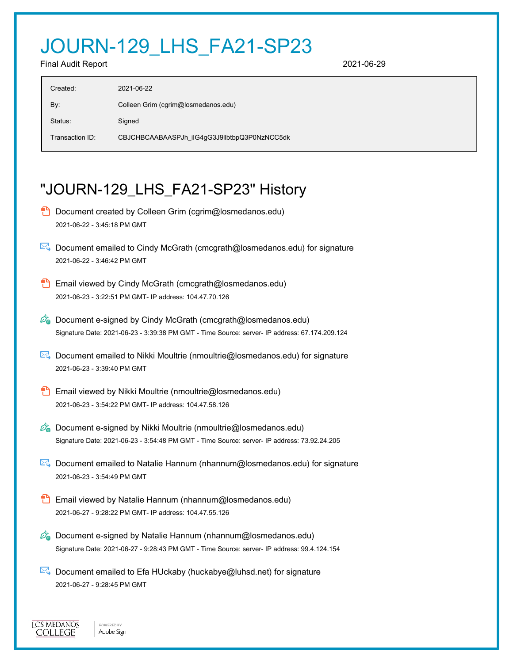# JOURN-129\_LHS\_FA21-SP23

Final Audit Report 2021-06-29

| Created:        | 2021-06-22                                   |
|-----------------|----------------------------------------------|
| By:             | Colleen Grim (cgrim@losmedanos.edu)          |
| Status:         | Signed                                       |
| Transaction ID: | CBJCHBCAABAASPJh_iIG4gG3J9llbtbpQ3P0NzNCC5dk |

## "JOURN-129\_LHS\_FA21-SP23" History

- **D** Document created by Colleen Grim (cgrim@losmedanos.edu) 2021-06-22 - 3:45:18 PM GMT
- Document emailed to Cindy McGrath (cmcgrath@losmedanos.edu) for signature 2021-06-22 - 3:46:42 PM GMT
- **Email viewed by Cindy McGrath (cmcgrath@losmedanos.edu)** 2021-06-23 - 3:22:51 PM GMT- IP address: 104.47.70.126
- $\mathcal{O}_0$  Document e-signed by Cindy McGrath (cmcgrath@losmedanos.edu) Signature Date: 2021-06-23 - 3:39:38 PM GMT - Time Source: server- IP address: 67.174.209.124
- **E**. Document emailed to Nikki Moultrie (nmoultrie@losmedanos.edu) for signature 2021-06-23 - 3:39:40 PM GMT
- **Email viewed by Nikki Moultrie (nmoultrie@losmedanos.edu)** 2021-06-23 - 3:54:22 PM GMT- IP address: 104.47.58.126
- $\mathscr{O}_0$  Document e-signed by Nikki Moultrie (nmoultrie@losmedanos.edu) Signature Date: 2021-06-23 - 3:54:48 PM GMT - Time Source: server- IP address: 73.92.24.205
- Document emailed to Natalie Hannum (nhannum@losmedanos.edu) for signature 2021-06-23 - 3:54:49 PM GMT
- **Email viewed by Natalie Hannum (nhannum@losmedanos.edu)** 2021-06-27 - 9:28:22 PM GMT- IP address: 104.47.55.126
- $\mathscr{O}_\blacksquare$  Document e-signed by Natalie Hannum (nhannum@losmedanos.edu) Signature Date: 2021-06-27 - 9:28:43 PM GMT - Time Source: server- IP address: 99.4.124.154
- $\mathbb{E}$  Document emailed to Efa HUckaby (huckabye@luhsd.net) for signature 2021-06-27 - 9:28:45 PM GMT

**IOS MEDANOS COLLEGE** 

POWERED BY Adobe Sign